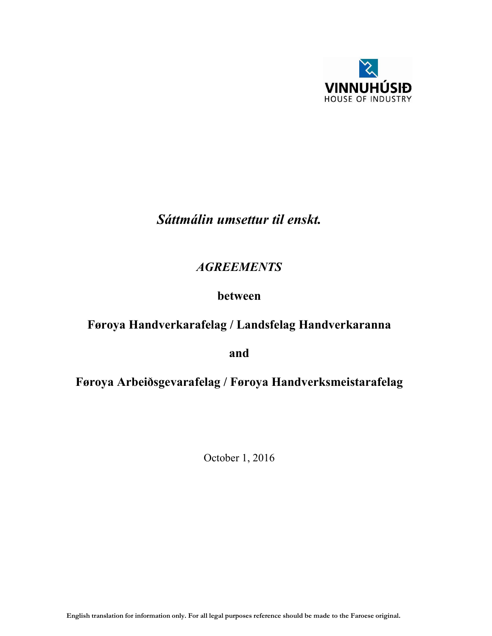

# *Sáttmálin umsettur til enskt.*

## *AGREEMENTS*

## between

# Føroya Handverkarafelag / Landsfelag Handverkaranna

and

# Føroya Arbeiðsgevarafelag / Føroya Handverksmeistarafelag

October 1, 2016

English translation for information only. For all legal purposes reference should be made to the Faroese original.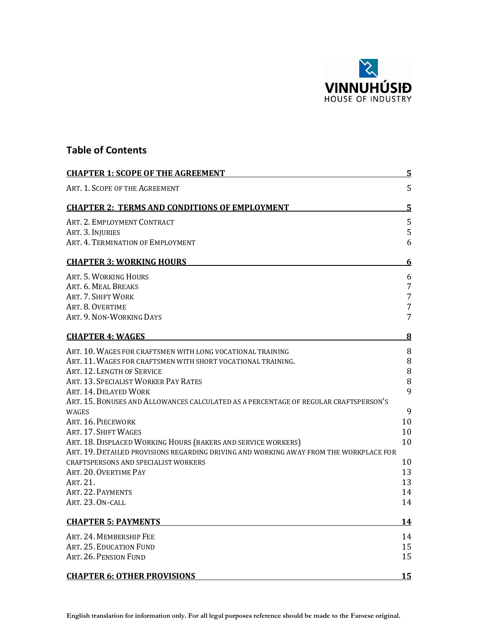

## Table of Contents

| <b>CHAPTER 1: SCOPE OF THE AGREEMENT</b>                                               | $\overline{5}$ |
|----------------------------------------------------------------------------------------|----------------|
| ART. 1. SCOPE OF THE AGREEMENT                                                         | 5              |
| <b>CHAPTER 2: TERMS AND CONDITIONS OF EMPLOYMENT</b>                                   | $\overline{5}$ |
| ART. 2. EMPLOYMENT CONTRACT                                                            | 5              |
| ART. 3. INJURIES                                                                       | 5              |
| ART. 4. TERMINATION OF EMPLOYMENT                                                      | 6              |
| <b>CHAPTER 3: WORKING HOURS</b>                                                        | 6              |
| ART. 5. WORKING HOURS                                                                  | 6              |
| ART. 6. MEAL BREAKS                                                                    | $\overline{7}$ |
| ART. 7. SHIFT WORK                                                                     | 7              |
| ART. 8. OVERTIME                                                                       | $\overline{7}$ |
| ART. 9. NON-WORKING DAYS                                                               | 7              |
| <b>CHAPTER 4: WAGES</b>                                                                | $\bf{8}$       |
| ART. 10. WAGES FOR CRAFTSMEN WITH LONG VOCATIONAL TRAINING                             | 8              |
| ART. 11. WAGES FOR CRAFTSMEN WITH SHORT VOCATIONAL TRAINING.                           | 8              |
| ART. 12. LENGTH OF SERVICE                                                             | 8              |
| ART. 13. SPECIALIST WORKER PAY RATES                                                   | $\, 8$         |
| ART. 14. DELAYED WORK                                                                  | 9              |
| ART. 15. BONUSES AND ALLOWANCES CALCULATED AS A PERCENTAGE OF REGULAR CRAFTSPERSON'S   |                |
| <b>WAGES</b><br>ART. 16. PIECEWORK                                                     | 9<br>10        |
| ART. 17. SHIFT WAGES                                                                   | 10             |
| ART. 18. DISPLACED WORKING HOURS (BAKERS AND SERVICE WORKERS)                          | 10             |
| ART. 19. DETAILED PROVISIONS REGARDING DRIVING AND WORKING AWAY FROM THE WORKPLACE FOR |                |
| <b>CRAFTSPERSONS AND SPECIALIST WORKERS</b>                                            | 10             |
| ART. 20. OVERTIME PAY                                                                  | 13             |
| ART. 21.                                                                               | 13             |
| ART. 22. PAYMENTS                                                                      | 14             |
| ART. 23. ON-CALL                                                                       | 14             |
| <b>CHAPTER 5: PAYMENTS</b>                                                             | 14             |
| ART. 24. MEMBERSHIP FEE                                                                | 14             |
| ART. 25. EDUCATION FUND                                                                | 15             |
| ART. 26. PENSION FUND                                                                  | 15             |
| <b>CHAPTER 6: OTHER PROVISIONS</b>                                                     | 15             |

English translation for information only. For all legal purposes reference should be made to the Faroese original.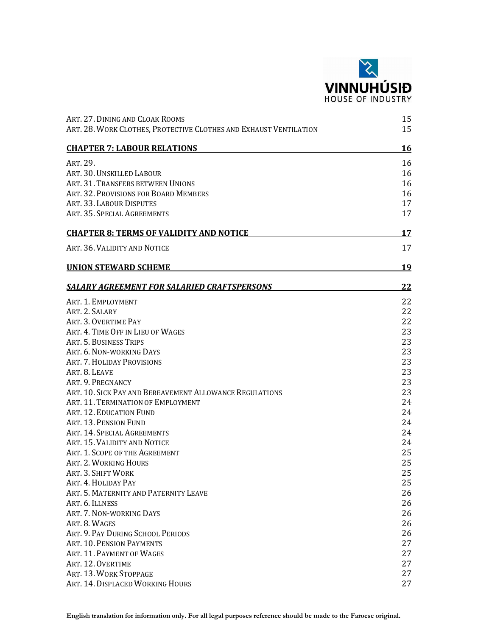

| ART. 27. DINING AND CLOAK ROOMS<br>ART. 28. WORK CLOTHES, PROTECTIVE CLOTHES AND EXHAUST VENTILATION | 15<br>15  |
|------------------------------------------------------------------------------------------------------|-----------|
| <b>CHAPTER 7: LABOUR RELATIONS</b>                                                                   | <u>16</u> |
| ART. 29.                                                                                             | 16        |
| ART. 30. UNSKILLED LABOUR                                                                            | 16        |
| ART. 31. TRANSFERS BETWEEN UNIONS                                                                    | 16        |
| ART. 32. PROVISIONS FOR BOARD MEMBERS                                                                | 16        |
| ART. 33. LABOUR DISPUTES                                                                             | 17        |
| ART. 35. SPECIAL AGREEMENTS                                                                          | 17        |
| <b>CHAPTER 8: TERMS OF VALIDITY AND NOTICE</b>                                                       | <u>17</u> |
| ART. 36. VALIDITY AND NOTICE                                                                         | 17        |
| <b>UNION STEWARD SCHEME</b>                                                                          | <u>19</u> |
| SALARY AGREEMENT FOR SALARIED CRAFTSPERSONS                                                          | 22        |
| ART. 1. EMPLOYMENT                                                                                   | 22        |
| ART. 2. SALARY                                                                                       | 22        |
| ART. 3. OVERTIME PAY                                                                                 | 22        |
| ART. 4. TIME OFF IN LIEU OF WAGES                                                                    | 23        |
| ART. 5. BUSINESS TRIPS                                                                               | 23        |
| ART. 6. NON-WORKING DAYS                                                                             | 23        |
| ART. 7. HOLIDAY PROVISIONS                                                                           | 23        |
| ART. 8. LEAVE                                                                                        | 23        |
| ART. 9. PREGNANCY                                                                                    | 23        |
| ART. 10. SICK PAY AND BEREAVEMENT ALLOWANCE REGULATIONS                                              | 23        |
| ART. 11. TERMINATION OF EMPLOYMENT                                                                   | 24        |
| ART. 12. EDUCATION FUND                                                                              | 24        |
| ART. 13. PENSION FUND                                                                                | 24        |
| ART. 14. SPECIAL AGREEMENTS                                                                          | 24        |
| ART. 15. VALIDITY AND NOTICE                                                                         | 24        |
| ART. 1. SCOPE OF THE AGREEMENT                                                                       | 25        |
| ART. 2. WORKING HOURS                                                                                | 25        |
| ART. 3. SHIFT WORK                                                                                   | 25        |
| ART. 4. HOLIDAY PAY                                                                                  | 25        |
| ART. 5. MATERNITY AND PATERNITY LEAVE                                                                | 26        |
| ART. 6. ILLNESS                                                                                      | 26        |
| ART. 7. NON-WORKING DAYS                                                                             | 26        |
| ART. 8. WAGES                                                                                        | 26        |
| ART. 9. PAY DURING SCHOOL PERIODS                                                                    | 26        |
| ART. 10. PENSION PAYMENTS                                                                            | 27        |
| ART. 11. PAYMENT OF WAGES                                                                            | 27        |
| ART. 12. OVERTIME                                                                                    | 27        |
| ART. 13. WORK STOPPAGE                                                                               | 27        |
|                                                                                                      | 27        |
| ART. 14. DISPLACED WORKING HOURS                                                                     |           |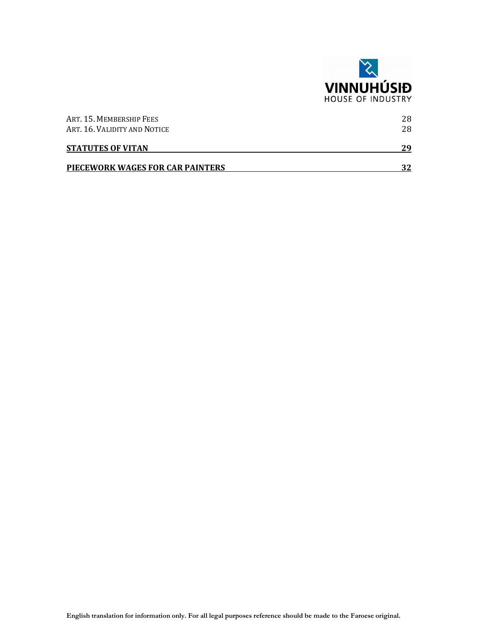

| <b>STATUTES OF VITAN</b><br>PIECEWORK WAGES FOR CAR PAINTERS | 29<br>マフ |
|--------------------------------------------------------------|----------|
| ART. 16. VALIDITY AND NOTICE                                 | 28       |
| ART. 15. MEMBERSHIP FEES                                     | 28       |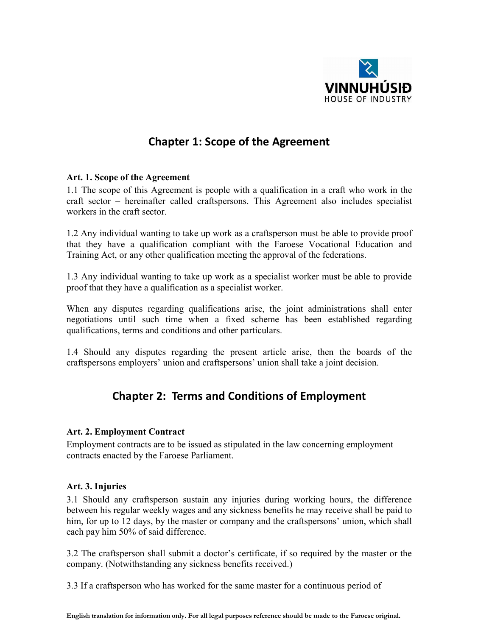

## Chapter 1: Scope of the Agreement

#### Art. 1. Scope of the Agreement

1.1 The scope of this Agreement is people with a qualification in a craft who work in the craft sector – hereinafter called craftspersons. This Agreement also includes specialist workers in the craft sector.

1.2 Any individual wanting to take up work as a craftsperson must be able to provide proof that they have a qualification compliant with the Faroese Vocational Education and Training Act, or any other qualification meeting the approval of the federations.

1.3 Any individual wanting to take up work as a specialist worker must be able to provide proof that they have a qualification as a specialist worker.

When any disputes regarding qualifications arise, the joint administrations shall enter negotiations until such time when a fixed scheme has been established regarding qualifications, terms and conditions and other particulars.

1.4 Should any disputes regarding the present article arise, then the boards of the craftspersons employers' union and craftspersons' union shall take a joint decision.

## Chapter 2: Terms and Conditions of Employment

## Art. 2. Employment Contract

Employment contracts are to be issued as stipulated in the law concerning employment contracts enacted by the Faroese Parliament.

## Art. 3. Injuries

3.1 Should any craftsperson sustain any injuries during working hours, the difference between his regular weekly wages and any sickness benefits he may receive shall be paid to him, for up to 12 days, by the master or company and the craftspersons' union, which shall each pay him 50% of said difference.

3.2 The craftsperson shall submit a doctor's certificate, if so required by the master or the company. (Notwithstanding any sickness benefits received.)

3.3 If a craftsperson who has worked for the same master for a continuous period of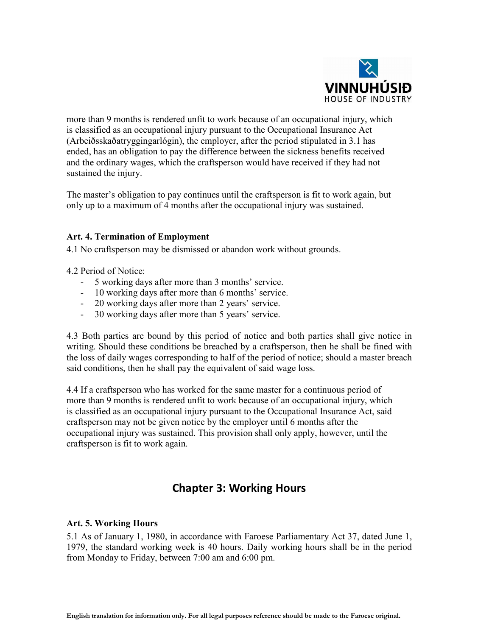

more than 9 months is rendered unfit to work because of an occupational injury, which is classified as an occupational injury pursuant to the Occupational Insurance Act (Arbeiðsskaðatryggingarlógin), the employer, after the period stipulated in 3.1 has ended, has an obligation to pay the difference between the sickness benefits received and the ordinary wages, which the craftsperson would have received if they had not sustained the injury.

The master's obligation to pay continues until the craftsperson is fit to work again, but only up to a maximum of 4 months after the occupational injury was sustained.

#### Art. 4. Termination of Employment

4.1 No craftsperson may be dismissed or abandon work without grounds.

4.2 Period of Notice:

- 5 working days after more than 3 months' service.
- 10 working days after more than 6 months' service.
- 20 working days after more than 2 years' service.
- 30 working days after more than 5 years' service.

4.3 Both parties are bound by this period of notice and both parties shall give notice in writing. Should these conditions be breached by a craftsperson, then he shall be fined with the loss of daily wages corresponding to half of the period of notice; should a master breach said conditions, then he shall pay the equivalent of said wage loss.

4.4 If a craftsperson who has worked for the same master for a continuous period of more than 9 months is rendered unfit to work because of an occupational injury, which is classified as an occupational injury pursuant to the Occupational Insurance Act, said craftsperson may not be given notice by the employer until 6 months after the occupational injury was sustained. This provision shall only apply, however, until the craftsperson is fit to work again.

## Chapter 3: Working Hours

#### Art. 5. Working Hours

5.1 As of January 1, 1980, in accordance with Faroese Parliamentary Act 37, dated June 1, 1979, the standard working week is 40 hours. Daily working hours shall be in the period from Monday to Friday, between 7:00 am and 6:00 pm.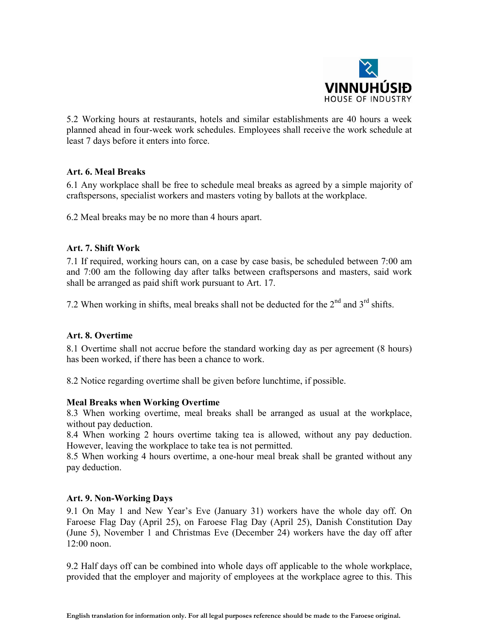

5.2 Working hours at restaurants, hotels and similar establishments are 40 hours a week planned ahead in four-week work schedules. Employees shall receive the work schedule at least 7 days before it enters into force.

## Art. 6. Meal Breaks

6.1 Any workplace shall be free to schedule meal breaks as agreed by a simple majority of craftspersons, specialist workers and masters voting by ballots at the workplace.

6.2 Meal breaks may be no more than 4 hours apart.

#### Art. 7. Shift Work

7.1 If required, working hours can, on a case by case basis, be scheduled between 7:00 am and 7:00 am the following day after talks between craftspersons and masters, said work shall be arranged as paid shift work pursuant to Art. 17.

7.2 When working in shifts, meal breaks shall not be deducted for the  $2<sup>nd</sup>$  and  $3<sup>rd</sup>$  shifts.

#### Art. 8. Overtime

8.1 Overtime shall not accrue before the standard working day as per agreement (8 hours) has been worked, if there has been a chance to work.

8.2 Notice regarding overtime shall be given before lunchtime, if possible.

#### Meal Breaks when Working Overtime

8.3 When working overtime, meal breaks shall be arranged as usual at the workplace, without pay deduction.

8.4 When working 2 hours overtime taking tea is allowed, without any pay deduction. However, leaving the workplace to take tea is not permitted.

8.5 When working 4 hours overtime, a one-hour meal break shall be granted without any pay deduction.

#### Art. 9. Non-Working Days

9.1 On May 1 and New Year's Eve (January 31) workers have the whole day off. On Faroese Flag Day (April 25), on Faroese Flag Day (April 25), Danish Constitution Day (June 5), November 1 and Christmas Eve (December 24) workers have the day off after 12:00 noon.

9.2 Half days off can be combined into whole days off applicable to the whole workplace, provided that the employer and majority of employees at the workplace agree to this. This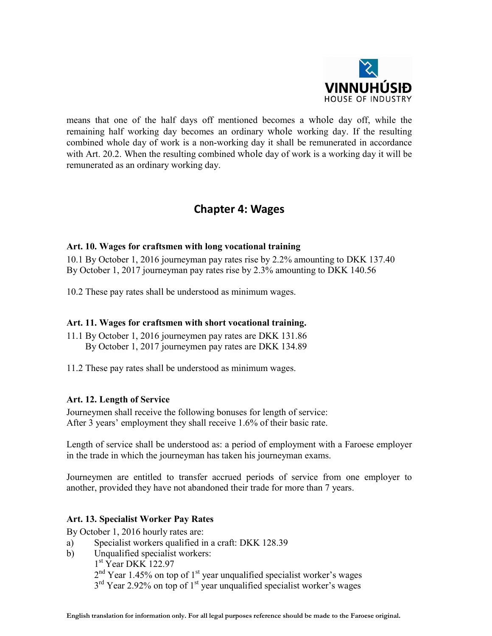

means that one of the half days off mentioned becomes a whole day off, while the remaining half working day becomes an ordinary whole working day. If the resulting combined whole day of work is a non-working day it shall be remunerated in accordance with Art. 20.2. When the resulting combined whole day of work is a working day it will be remunerated as an ordinary working day.

## Chapter 4: Wages

## Art. 10. Wages for craftsmen with long vocational training

10.1 By October 1, 2016 journeyman pay rates rise by 2.2% amounting to DKK 137.40 By October 1, 2017 journeyman pay rates rise by 2.3% amounting to DKK 140.56

10.2 These pay rates shall be understood as minimum wages.

## Art. 11. Wages for craftsmen with short vocational training.

- 11.1 By October 1, 2016 journeymen pay rates are DKK 131.86 By October 1, 2017 journeymen pay rates are DKK 134.89
- 11.2 These pay rates shall be understood as minimum wages.

## Art. 12. Length of Service

Journeymen shall receive the following bonuses for length of service: After 3 years' employment they shall receive 1.6% of their basic rate.

Length of service shall be understood as: a period of employment with a Faroese employer in the trade in which the journeyman has taken his journeyman exams.

Journeymen are entitled to transfer accrued periods of service from one employer to another, provided they have not abandoned their trade for more than 7 years.

## Art. 13. Specialist Worker Pay Rates

By October 1, 2016 hourly rates are:

- a) Specialist workers qualified in a craft: DKK 128.39
- b) Unqualified specialist workers:
	- 1<sup>st</sup> Year DKK 122.97  $2<sup>nd</sup>$  Year 1.45% on top of 1<sup>st</sup> year unqualified specialist worker's wages  $3<sup>rd</sup>$  Year 2.92% on top of 1<sup>st</sup> year unqualified specialist worker's wages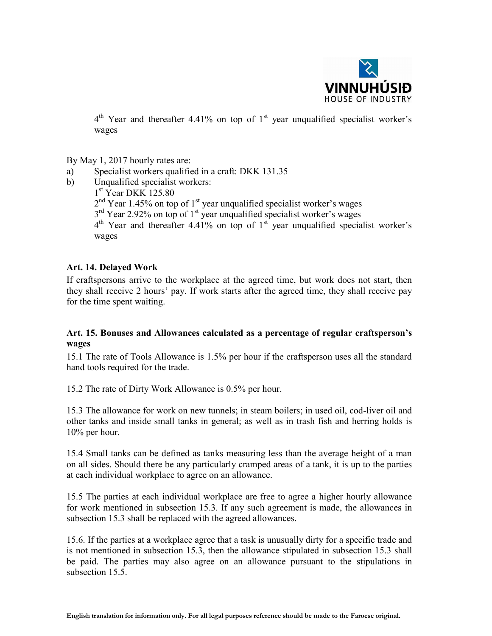

 $4<sup>th</sup>$  Year and thereafter 4.41% on top of  $1<sup>st</sup>$  year unqualified specialist worker's wages

By May 1, 2017 hourly rates are:

- a) Specialist workers qualified in a craft: DKK 131.35
- b) Unqualified specialist workers:

1<sup>st</sup> Year DKK 125.80  $2<sup>nd</sup>$  Year 1.45% on top of 1<sup>st</sup> year unqualified specialist worker's wages  $3<sup>rd</sup>$  Year 2.92% on top of 1<sup>st</sup> year unqualified specialist worker's wages  $4<sup>th</sup>$  Year and thereafter 4.41% on top of  $1<sup>st</sup>$  year unqualified specialist worker's wages

#### Art. 14. Delayed Work

If craftspersons arrive to the workplace at the agreed time, but work does not start, then they shall receive 2 hours' pay. If work starts after the agreed time, they shall receive pay for the time spent waiting.

## Art. 15. Bonuses and Allowances calculated as a percentage of regular craftsperson's wages

15.1 The rate of Tools Allowance is 1.5% per hour if the craftsperson uses all the standard hand tools required for the trade.

15.2 The rate of Dirty Work Allowance is 0.5% per hour.

15.3 The allowance for work on new tunnels; in steam boilers; in used oil, cod-liver oil and other tanks and inside small tanks in general; as well as in trash fish and herring holds is 10% per hour.

15.4 Small tanks can be defined as tanks measuring less than the average height of a man on all sides. Should there be any particularly cramped areas of a tank, it is up to the parties at each individual workplace to agree on an allowance.

15.5 The parties at each individual workplace are free to agree a higher hourly allowance for work mentioned in subsection 15.3. If any such agreement is made, the allowances in subsection 15.3 shall be replaced with the agreed allowances.

15.6. If the parties at a workplace agree that a task is unusually dirty for a specific trade and is not mentioned in subsection 15.3, then the allowance stipulated in subsection 15.3 shall be paid. The parties may also agree on an allowance pursuant to the stipulations in subsection 15.5.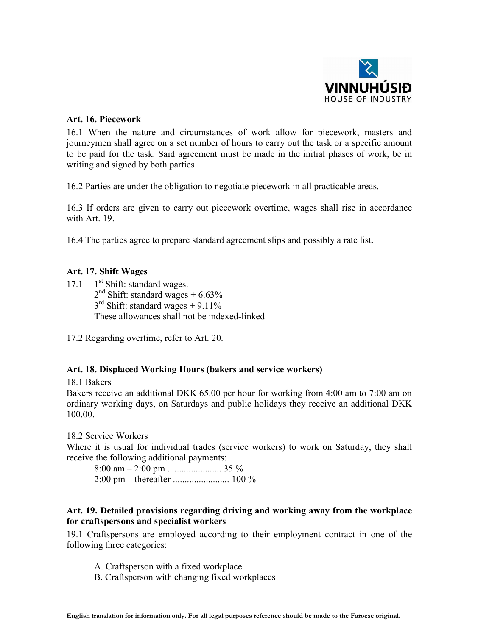

#### Art. 16. Piecework

16.1 When the nature and circumstances of work allow for piecework, masters and journeymen shall agree on a set number of hours to carry out the task or a specific amount to be paid for the task. Said agreement must be made in the initial phases of work, be in writing and signed by both parties

16.2 Parties are under the obligation to negotiate piecework in all practicable areas.

16.3 If orders are given to carry out piecework overtime, wages shall rise in accordance with Art. 19

16.4 The parties agree to prepare standard agreement slips and possibly a rate list.

## Art. 17. Shift Wages

17.1 1<sup>st</sup> Shift: standard wages.  $2<sup>nd</sup>$  Shift: standard wages + 6.63%  $3<sup>rd</sup>$  Shift: standard wages + 9.11% These allowances shall not be indexed-linked

17.2 Regarding overtime, refer to Art. 20.

#### Art. 18. Displaced Working Hours (bakers and service workers)

18.1 Bakers

Bakers receive an additional DKK 65.00 per hour for working from 4:00 am to 7:00 am on ordinary working days, on Saturdays and public holidays they receive an additional DKK 100.00.

18.2 Service Workers

Where it is usual for individual trades (service workers) to work on Saturday, they shall receive the following additional payments:

 $8:00 \text{ am} - 2:00 \text{ pm} \dots \dots \dots \dots \dots \dots 35 \%$ 2:00 pm – thereafter ........................ 100 %

## Art. 19. Detailed provisions regarding driving and working away from the workplace for craftspersons and specialist workers

19.1 Craftspersons are employed according to their employment contract in one of the following three categories:

- A. Craftsperson with a fixed workplace
- B. Craftsperson with changing fixed workplaces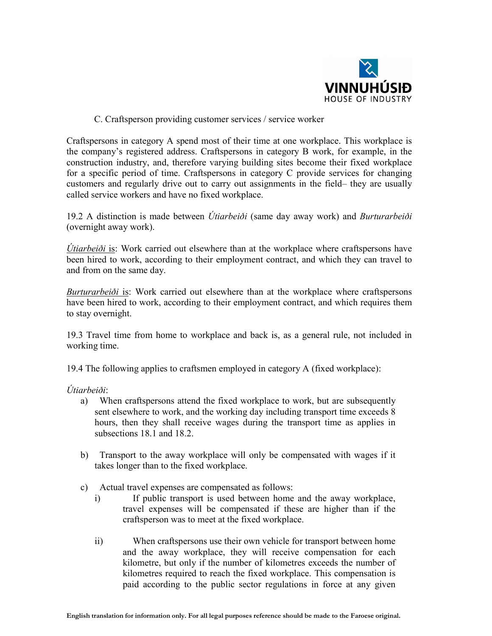

## C. Craftsperson providing customer services / service worker

Craftspersons in category A spend most of their time at one workplace. This workplace is the company's registered address. Craftspersons in category B work, for example, in the construction industry, and, therefore varying building sites become their fixed workplace for a specific period of time. Craftspersons in category C provide services for changing customers and regularly drive out to carry out assignments in the field– they are usually called service workers and have no fixed workplace.

19.2 A distinction is made between *Útiarbeiði* (same day away work) and *Burturarbeiði* (overnight away work).

*Útiarbeiði* is: Work carried out elsewhere than at the workplace where craftspersons have been hired to work, according to their employment contract, and which they can travel to and from on the same day.

*Burturarbeiði* is: Work carried out elsewhere than at the workplace where craftspersons have been hired to work, according to their employment contract, and which requires them to stay overnight.

19.3 Travel time from home to workplace and back is, as a general rule, not included in working time.

19.4 The following applies to craftsmen employed in category A (fixed workplace):

*Útiarbeiði*:

- a) When craftspersons attend the fixed workplace to work, but are subsequently sent elsewhere to work, and the working day including transport time exceeds 8 hours, then they shall receive wages during the transport time as applies in subsections 18.1 and 18.2.
- b) Transport to the away workplace will only be compensated with wages if it takes longer than to the fixed workplace.
- c) Actual travel expenses are compensated as follows:
	- i) If public transport is used between home and the away workplace, travel expenses will be compensated if these are higher than if the craftsperson was to meet at the fixed workplace.
	- ii) When craftspersons use their own vehicle for transport between home and the away workplace, they will receive compensation for each kilometre, but only if the number of kilometres exceeds the number of kilometres required to reach the fixed workplace. This compensation is paid according to the public sector regulations in force at any given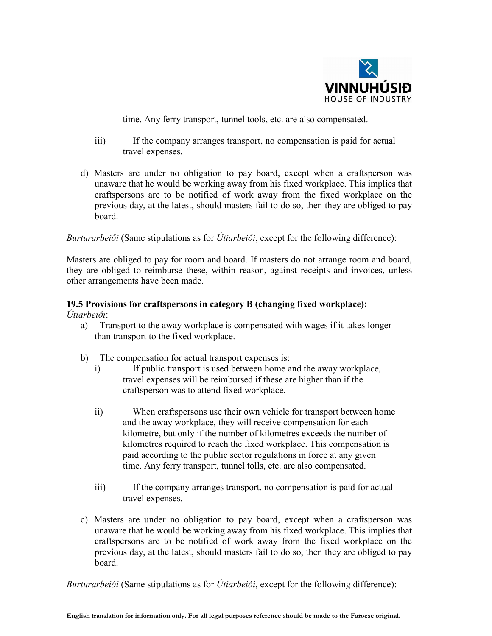

time. Any ferry transport, tunnel tools, etc. are also compensated.

- iii) If the company arranges transport, no compensation is paid for actual travel expenses.
- d) Masters are under no obligation to pay board, except when a craftsperson was unaware that he would be working away from his fixed workplace. This implies that craftspersons are to be notified of work away from the fixed workplace on the previous day, at the latest, should masters fail to do so, then they are obliged to pay board.

#### *Burturarbeiði* (Same stipulations as for *Útiarbeiði*, except for the following difference):

Masters are obliged to pay for room and board. If masters do not arrange room and board, they are obliged to reimburse these, within reason, against receipts and invoices, unless other arrangements have been made.

#### 19.5 Provisions for craftspersons in category B (changing fixed workplace): *Útiarbeiði*:

- a) Transport to the away workplace is compensated with wages if it takes longer than transport to the fixed workplace.
- b) The compensation for actual transport expenses is:
	- i) If public transport is used between home and the away workplace, travel expenses will be reimbursed if these are higher than if the craftsperson was to attend fixed workplace.
	- ii) When craftspersons use their own vehicle for transport between home and the away workplace, they will receive compensation for each kilometre, but only if the number of kilometres exceeds the number of kilometres required to reach the fixed workplace. This compensation is paid according to the public sector regulations in force at any given time. Any ferry transport, tunnel tolls, etc. are also compensated.
	- iii) If the company arranges transport, no compensation is paid for actual travel expenses.
- c) Masters are under no obligation to pay board, except when a craftsperson was unaware that he would be working away from his fixed workplace. This implies that craftspersons are to be notified of work away from the fixed workplace on the previous day, at the latest, should masters fail to do so, then they are obliged to pay board.

*Burturarbeiði* (Same stipulations as for *Útiarbeiði*, except for the following difference):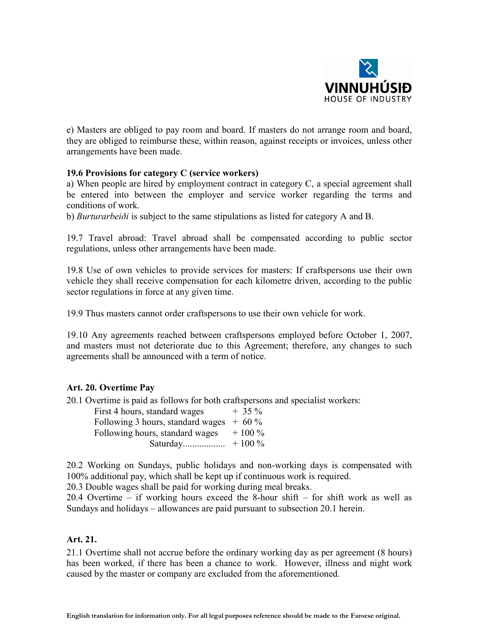

e) Masters are obliged to pay room and board. If masters do not arrange room and board, they are obliged to reimburse these, within reason, against receipts or invoices, unless other arrangements have been made.

#### 19.6 Provisions for category C (service workers)

a) When people are hired by employment contract in category C, a special agreement shall be entered into between the employer and service worker regarding the terms and conditions of work.

b) *Burturarbeiði* is subject to the same stipulations as listed for category A and B.

19.7 Travel abroad: Travel abroad shall be compensated according to public sector regulations, unless other arrangements have been made.

19.8 Use of own vehicles to provide services for masters: If craftspersons use their own vehicle they shall receive compensation for each kilometre driven, according to the public sector regulations in force at any given time.

19.9 Thus masters cannot order craftspersons to use their own vehicle for work.

19.10 Any agreements reached between craftspersons employed before October 1, 2007, and masters must not deteriorate due to this Agreement; therefore, any changes to such agreements shall be announced with a term of notice.

#### Art. 20. Overtime Pay

20.1 Overtime is paid as follows for both craftspersons and specialist workers:

| First 4 hours, standard wages             | $+35\%$  |
|-------------------------------------------|----------|
| Following 3 hours, standard wages $+60\%$ |          |
| Following hours, standard wages           | $+100\%$ |
| Saturday                                  | $+100\%$ |

20.2 Working on Sundays, public holidays and non-working days is compensated with 100% additional pay, which shall be kept up if continuous work is required.

20.3 Double wages shall be paid for working during meal breaks.

20.4 Overtime – if working hours exceed the 8-hour shift – for shift work as well as Sundays and holidays – allowances are paid pursuant to subsection 20.1 herein.

#### Art. 21.

21.1 Overtime shall not accrue before the ordinary working day as per agreement (8 hours) has been worked, if there has been a chance to work. However, illness and night work caused by the master or company are excluded from the aforementioned.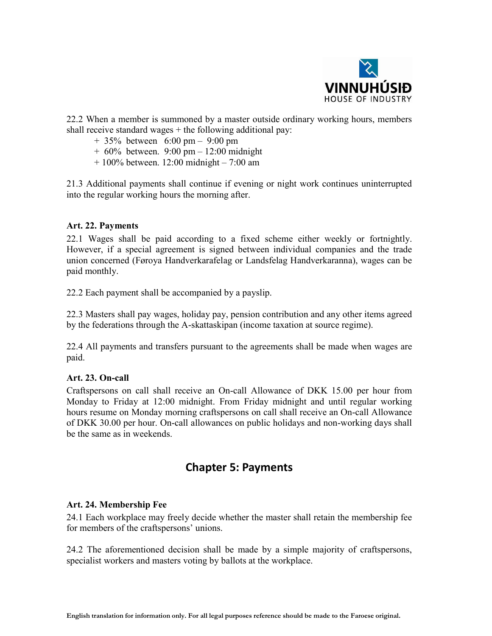

22.2 When a member is summoned by a master outside ordinary working hours, members shall receive standard wages  $+$  the following additional pay:

- + 35% between 6:00 pm 9:00 pm
- + 60% between. 9:00 pm 12:00 midnight
- + 100% between. 12:00 midnight 7:00 am

21.3 Additional payments shall continue if evening or night work continues uninterrupted into the regular working hours the morning after.

#### Art. 22. Payments

22.1 Wages shall be paid according to a fixed scheme either weekly or fortnightly. However, if a special agreement is signed between individual companies and the trade union concerned (Føroya Handverkarafelag or Landsfelag Handverkaranna), wages can be paid monthly.

22.2 Each payment shall be accompanied by a payslip.

22.3 Masters shall pay wages, holiday pay, pension contribution and any other items agreed by the federations through the A-skattaskipan (income taxation at source regime).

22.4 All payments and transfers pursuant to the agreements shall be made when wages are paid.

## Art. 23. On-call

Craftspersons on call shall receive an On-call Allowance of DKK 15.00 per hour from Monday to Friday at 12:00 midnight. From Friday midnight and until regular working hours resume on Monday morning craftspersons on call shall receive an On-call Allowance of DKK 30.00 per hour. On-call allowances on public holidays and non-working days shall be the same as in weekends.

## Chapter 5: Payments

## Art. 24. Membership Fee

24.1 Each workplace may freely decide whether the master shall retain the membership fee for members of the craftspersons' unions.

24.2 The aforementioned decision shall be made by a simple majority of craftspersons, specialist workers and masters voting by ballots at the workplace.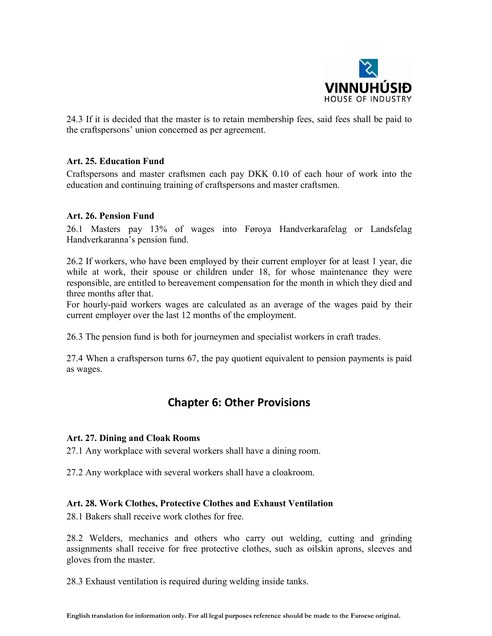

24.3 If it is decided that the master is to retain membership fees, said fees shall be paid to the craftspersons' union concerned as per agreement.

### Art. 25. Education Fund

Craftspersons and master craftsmen each pay DKK 0.10 of each hour of work into the education and continuing training of craftspersons and master craftsmen.

#### Art. 26. Pension Fund

26.1 Masters pay 13% of wages into Føroya Handverkarafelag or Landsfelag Handverkaranna's pension fund.

26.2 If workers, who have been employed by their current employer for at least 1 year, die while at work, their spouse or children under 18, for whose maintenance they were responsible, are entitled to bereavement compensation for the month in which they died and three months after that.

For hourly-paid workers wages are calculated as an average of the wages paid by their current employer over the last 12 months of the employment.

26.3 The pension fund is both for journeymen and specialist workers in craft trades.

27.4 When a craftsperson turns 67, the pay quotient equivalent to pension payments is paid as wages.

## Chapter 6: Other Provisions

#### Art. 27. Dining and Cloak Rooms

27.1 Any workplace with several workers shall have a dining room.

27.2 Any workplace with several workers shall have a cloakroom.

## Art. 28. Work Clothes, Protective Clothes and Exhaust Ventilation

28.1 Bakers shall receive work clothes for free.

28.2 Welders, mechanics and others who carry out welding, cutting and grinding assignments shall receive for free protective clothes, such as oilskin aprons, sleeves and gloves from the master.

28.3 Exhaust ventilation is required during welding inside tanks.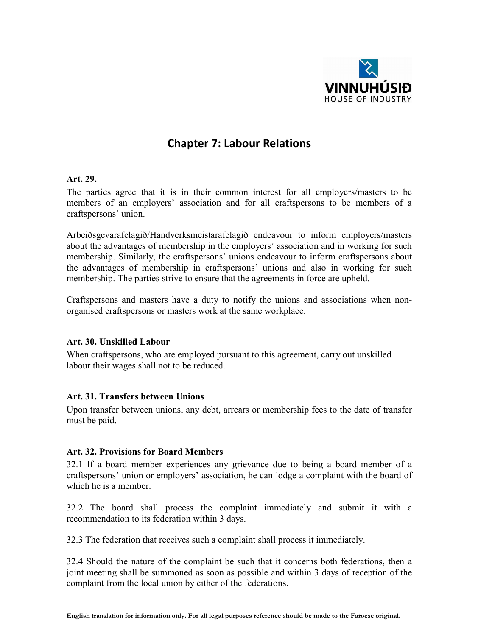

## Chapter 7: Labour Relations

#### Art. 29.

The parties agree that it is in their common interest for all employers/masters to be members of an employers' association and for all craftspersons to be members of a craftspersons' union.

Arbeiðsgevarafelagið/Handverksmeistarafelagið endeavour to inform employers/masters about the advantages of membership in the employers' association and in working for such membership. Similarly, the craftspersons' unions endeavour to inform craftspersons about the advantages of membership in craftspersons' unions and also in working for such membership. The parties strive to ensure that the agreements in force are upheld.

Craftspersons and masters have a duty to notify the unions and associations when nonorganised craftspersons or masters work at the same workplace.

#### Art. 30. Unskilled Labour

When craftspersons, who are employed pursuant to this agreement, carry out unskilled labour their wages shall not to be reduced.

#### Art. 31. Transfers between Unions

Upon transfer between unions, any debt, arrears or membership fees to the date of transfer must be paid.

## Art. 32. Provisions for Board Members

32.1 If a board member experiences any grievance due to being a board member of a craftspersons' union or employers' association, he can lodge a complaint with the board of which he is a member.

32.2 The board shall process the complaint immediately and submit it with a recommendation to its federation within 3 days.

32.3 The federation that receives such a complaint shall process it immediately.

32.4 Should the nature of the complaint be such that it concerns both federations, then a joint meeting shall be summoned as soon as possible and within 3 days of reception of the complaint from the local union by either of the federations.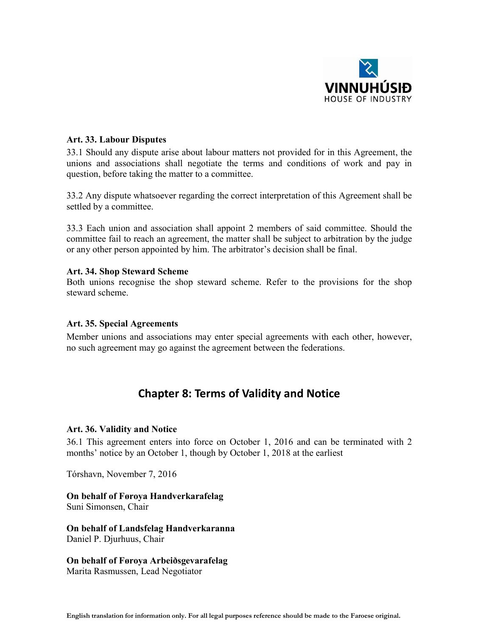

#### Art. 33. Labour Disputes

33.1 Should any dispute arise about labour matters not provided for in this Agreement, the unions and associations shall negotiate the terms and conditions of work and pay in question, before taking the matter to a committee.

33.2 Any dispute whatsoever regarding the correct interpretation of this Agreement shall be settled by a committee.

33.3 Each union and association shall appoint 2 members of said committee. Should the committee fail to reach an agreement, the matter shall be subject to arbitration by the judge or any other person appointed by him. The arbitrator's decision shall be final.

#### Art. 34. Shop Steward Scheme

Both unions recognise the shop steward scheme. Refer to the provisions for the shop steward scheme.

#### Art. 35. Special Agreements

Member unions and associations may enter special agreements with each other, however, no such agreement may go against the agreement between the federations.

## Chapter 8: Terms of Validity and Notice

#### Art. 36. Validity and Notice

36.1 This agreement enters into force on October 1, 2016 and can be terminated with 2 months' notice by an October 1, though by October 1, 2018 at the earliest

Tórshavn, November 7, 2016

On behalf of Føroya Handverkarafelag Suni Simonsen, Chair

On behalf of Landsfelag Handverkaranna Daniel P. Djurhuus, Chair

On behalf of Føroya Arbeiðsgevarafelag Marita Rasmussen, Lead Negotiator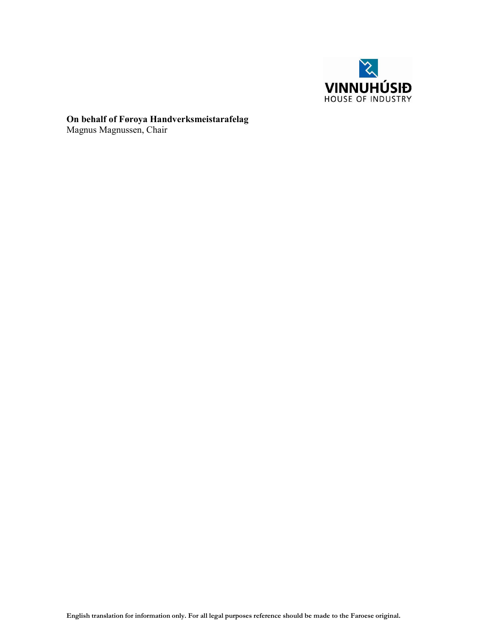

On behalf of Føroya Handverksmeistarafelag Magnus Magnussen, Chair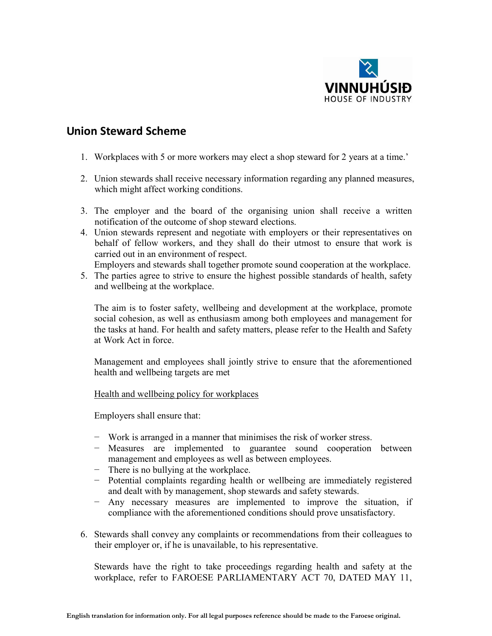

## Union Steward Scheme

- 1. Workplaces with 5 or more workers may elect a shop steward for 2 years at a time.'
- 2. Union stewards shall receive necessary information regarding any planned measures, which might affect working conditions.
- 3. The employer and the board of the organising union shall receive a written notification of the outcome of shop steward elections.
- 4. Union stewards represent and negotiate with employers or their representatives on behalf of fellow workers, and they shall do their utmost to ensure that work is carried out in an environment of respect.
- Employers and stewards shall together promote sound cooperation at the workplace.
- 5. The parties agree to strive to ensure the highest possible standards of health, safety and wellbeing at the workplace.

The aim is to foster safety, wellbeing and development at the workplace, promote social cohesion, as well as enthusiasm among both employees and management for the tasks at hand. For health and safety matters, please refer to the Health and Safety at Work Act in force.

Management and employees shall jointly strive to ensure that the aforementioned health and wellbeing targets are met

Health and wellbeing policy for workplaces

Employers shall ensure that:

- − Work is arranged in a manner that minimises the risk of worker stress.
- − Measures are implemented to guarantee sound cooperation between management and employees as well as between employees.
- − There is no bullying at the workplace.
- − Potential complaints regarding health or wellbeing are immediately registered and dealt with by management, shop stewards and safety stewards.
- − Any necessary measures are implemented to improve the situation, if compliance with the aforementioned conditions should prove unsatisfactory.
- 6. Stewards shall convey any complaints or recommendations from their colleagues to their employer or, if he is unavailable, to his representative.

Stewards have the right to take proceedings regarding health and safety at the workplace, refer to FAROESE PARLIAMENTARY ACT 70, DATED MAY 11,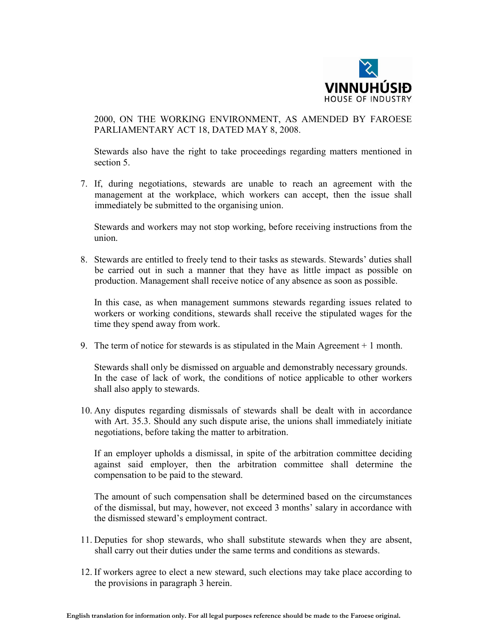

2000, ON THE WORKING ENVIRONMENT, AS AMENDED BY FAROESE PARLIAMENTARY ACT 18, DATED MAY 8, 2008.

Stewards also have the right to take proceedings regarding matters mentioned in section 5.

7. If, during negotiations, stewards are unable to reach an agreement with the management at the workplace, which workers can accept, then the issue shall immediately be submitted to the organising union.

Stewards and workers may not stop working, before receiving instructions from the union.

8. Stewards are entitled to freely tend to their tasks as stewards. Stewards' duties shall be carried out in such a manner that they have as little impact as possible on production. Management shall receive notice of any absence as soon as possible.

In this case, as when management summons stewards regarding issues related to workers or working conditions, stewards shall receive the stipulated wages for the time they spend away from work.

9. The term of notice for stewards is as stipulated in the Main Agreement + 1 month.

Stewards shall only be dismissed on arguable and demonstrably necessary grounds. In the case of lack of work, the conditions of notice applicable to other workers shall also apply to stewards.

10. Any disputes regarding dismissals of stewards shall be dealt with in accordance with Art. 35.3. Should any such dispute arise, the unions shall immediately initiate negotiations, before taking the matter to arbitration.

If an employer upholds a dismissal, in spite of the arbitration committee deciding against said employer, then the arbitration committee shall determine the compensation to be paid to the steward.

The amount of such compensation shall be determined based on the circumstances of the dismissal, but may, however, not exceed 3 months' salary in accordance with the dismissed steward's employment contract.

- 11. Deputies for shop stewards, who shall substitute stewards when they are absent, shall carry out their duties under the same terms and conditions as stewards.
- 12. If workers agree to elect a new steward, such elections may take place according to the provisions in paragraph 3 herein.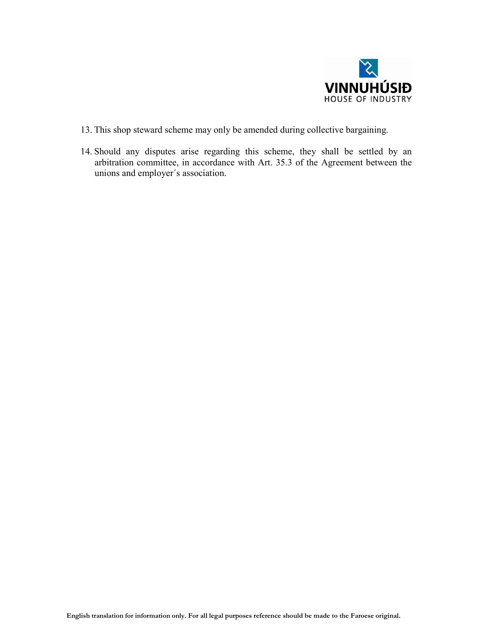

- 13. This shop steward scheme may only be amended during collective bargaining.
- 14. Should any disputes arise regarding this scheme, they shall be settled by an arbitration committee, in accordance with Art. 35.3 of the Agreement between the unions and employer´s association.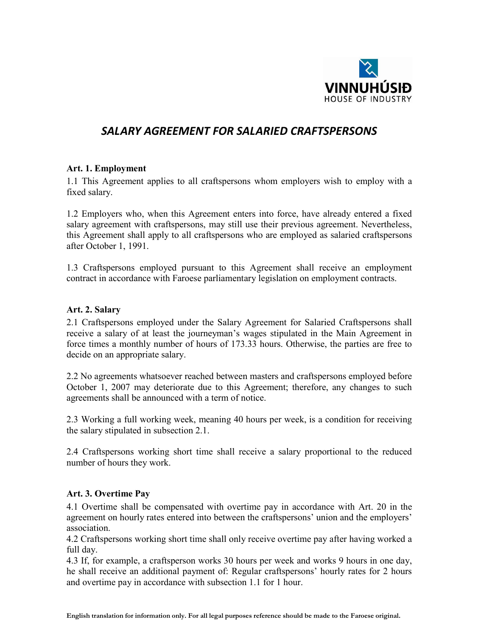

## *SALARY AGREEMENT FOR SALARIED CRAFTSPERSONS*

## Art. 1. Employment

1.1 This Agreement applies to all craftspersons whom employers wish to employ with a fixed salary.

1.2 Employers who, when this Agreement enters into force, have already entered a fixed salary agreement with craftspersons, may still use their previous agreement. Nevertheless, this Agreement shall apply to all craftspersons who are employed as salaried craftspersons after October 1, 1991.

1.3 Craftspersons employed pursuant to this Agreement shall receive an employment contract in accordance with Faroese parliamentary legislation on employment contracts.

#### Art. 2. Salary

2.1 Craftspersons employed under the Salary Agreement for Salaried Craftspersons shall receive a salary of at least the journeyman's wages stipulated in the Main Agreement in force times a monthly number of hours of 173.33 hours. Otherwise, the parties are free to decide on an appropriate salary.

2.2 No agreements whatsoever reached between masters and craftspersons employed before October 1, 2007 may deteriorate due to this Agreement; therefore, any changes to such agreements shall be announced with a term of notice.

2.3 Working a full working week, meaning 40 hours per week, is a condition for receiving the salary stipulated in subsection 2.1.

2.4 Craftspersons working short time shall receive a salary proportional to the reduced number of hours they work.

#### Art. 3. Overtime Pay

4.1 Overtime shall be compensated with overtime pay in accordance with Art. 20 in the agreement on hourly rates entered into between the craftspersons' union and the employers' association.

4.2 Craftspersons working short time shall only receive overtime pay after having worked a full day.

4.3 If, for example, a craftsperson works 30 hours per week and works 9 hours in one day, he shall receive an additional payment of: Regular craftspersons' hourly rates for 2 hours and overtime pay in accordance with subsection 1.1 for 1 hour.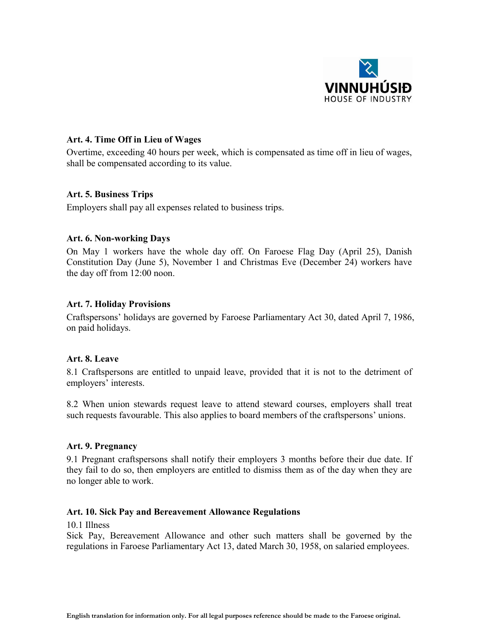

### Art. 4. Time Off in Lieu of Wages

Overtime, exceeding 40 hours per week, which is compensated as time off in lieu of wages, shall be compensated according to its value.

#### Art. 5. Business Trips

Employers shall pay all expenses related to business trips.

#### Art. 6. Non-working Days

On May 1 workers have the whole day off. On Faroese Flag Day (April 25), Danish Constitution Day (June 5), November 1 and Christmas Eve (December 24) workers have the day off from 12:00 noon.

#### Art. 7. Holiday Provisions

Craftspersons' holidays are governed by Faroese Parliamentary Act 30, dated April 7, 1986, on paid holidays.

#### Art. 8. Leave

8.1 Craftspersons are entitled to unpaid leave, provided that it is not to the detriment of employers' interests.

8.2 When union stewards request leave to attend steward courses, employers shall treat such requests favourable. This also applies to board members of the craftspersons' unions.

## Art. 9. Pregnancy

9.1 Pregnant craftspersons shall notify their employers 3 months before their due date. If they fail to do so, then employers are entitled to dismiss them as of the day when they are no longer able to work.

#### Art. 10. Sick Pay and Bereavement Allowance Regulations

10.1 Illness

Sick Pay, Bereavement Allowance and other such matters shall be governed by the regulations in Faroese Parliamentary Act 13, dated March 30, 1958, on salaried employees.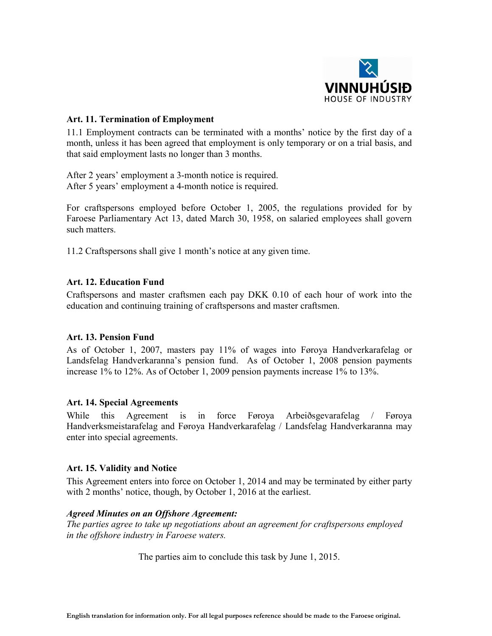

#### Art. 11. Termination of Employment

11.1 Employment contracts can be terminated with a months' notice by the first day of a month, unless it has been agreed that employment is only temporary or on a trial basis, and that said employment lasts no longer than 3 months.

After 2 years' employment a 3-month notice is required. After 5 years' employment a 4-month notice is required.

For craftspersons employed before October 1, 2005, the regulations provided for by Faroese Parliamentary Act 13, dated March 30, 1958, on salaried employees shall govern such matters.

11.2 Craftspersons shall give 1 month's notice at any given time.

## Art. 12. Education Fund

Craftspersons and master craftsmen each pay DKK 0.10 of each hour of work into the education and continuing training of craftspersons and master craftsmen.

#### Art. 13. Pension Fund

As of October 1, 2007, masters pay 11% of wages into Føroya Handverkarafelag or Landsfelag Handverkaranna's pension fund. As of October 1, 2008 pension payments increase 1% to 12%. As of October 1, 2009 pension payments increase 1% to 13%.

#### Art. 14. Special Agreements

While this Agreement is in force Føroya Arbeiðsgevarafelag / Føroya Handverksmeistarafelag and Føroya Handverkarafelag / Landsfelag Handverkaranna may enter into special agreements.

## Art. 15. Validity and Notice

This Agreement enters into force on October 1, 2014 and may be terminated by either party with 2 months' notice, though, by October 1, 2016 at the earliest.

#### *Agreed Minutes on an Offshore Agreement:*

*The parties agree to take up negotiations about an agreement for craftspersons employed in the offshore industry in Faroese waters.*

The parties aim to conclude this task by June 1, 2015.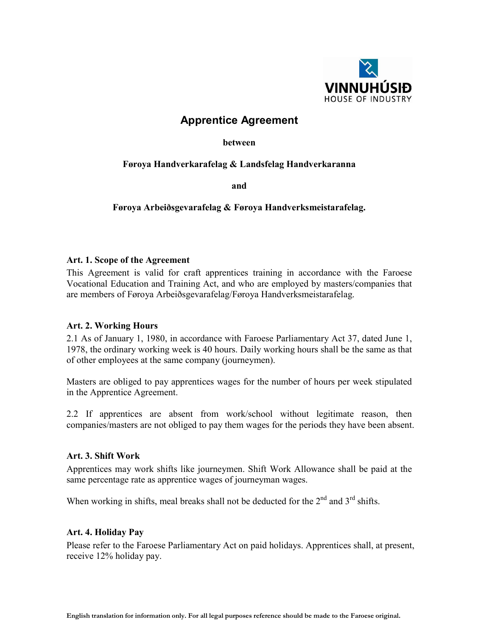

## Apprentice Agreement

between

## Føroya Handverkarafelag & Landsfelag Handverkaranna

and

Føroya Arbeiðsgevarafelag & Føroya Handverksmeistarafelag.

## Art. 1. Scope of the Agreement

This Agreement is valid for craft apprentices training in accordance with the Faroese Vocational Education and Training Act, and who are employed by masters/companies that are members of Føroya Arbeiðsgevarafelag/Føroya Handverksmeistarafelag.

## Art. 2. Working Hours

2.1 As of January 1, 1980, in accordance with Faroese Parliamentary Act 37, dated June 1, 1978, the ordinary working week is 40 hours. Daily working hours shall be the same as that of other employees at the same company (journeymen).

Masters are obliged to pay apprentices wages for the number of hours per week stipulated in the Apprentice Agreement.

2.2 If apprentices are absent from work/school without legitimate reason, then companies/masters are not obliged to pay them wages for the periods they have been absent.

## Art. 3. Shift Work

Apprentices may work shifts like journeymen. Shift Work Allowance shall be paid at the same percentage rate as apprentice wages of journeyman wages.

When working in shifts, meal breaks shall not be deducted for the  $2<sup>nd</sup>$  and  $3<sup>rd</sup>$  shifts.

## Art. 4. Holiday Pay

Please refer to the Faroese Parliamentary Act on paid holidays. Apprentices shall, at present, receive 12% holiday pay.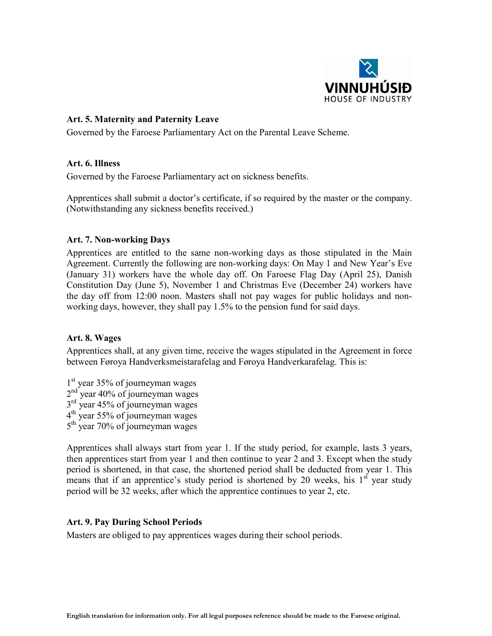

### Art. 5. Maternity and Paternity Leave

Governed by the Faroese Parliamentary Act on the Parental Leave Scheme.

#### Art. 6. Illness

Governed by the Faroese Parliamentary act on sickness benefits.

Apprentices shall submit a doctor's certificate, if so required by the master or the company. (Notwithstanding any sickness benefits received.)

#### Art. 7. Non-working Days

Apprentices are entitled to the same non-working days as those stipulated in the Main Agreement. Currently the following are non-working days: On May 1 and New Year's Eve (January 31) workers have the whole day off. On Faroese Flag Day (April 25), Danish Constitution Day (June 5), November 1 and Christmas Eve (December 24) workers have the day off from 12:00 noon. Masters shall not pay wages for public holidays and nonworking days, however, they shall pay 1.5% to the pension fund for said days.

#### Art. 8. Wages

Apprentices shall, at any given time, receive the wages stipulated in the Agreement in force between Føroya Handverksmeistarafelag and Føroya Handverkarafelag. This is:

1<sup>st</sup> year 35% of journeyman wages 2<sup>nd</sup> year 40% of journeyman wages 3<sup>rd</sup> year 45% of journeyman wages 4<sup>th</sup> year 55% of journeyman wages 5<sup>th</sup> year 70% of journeyman wages

Apprentices shall always start from year 1. If the study period, for example, lasts 3 years, then apprentices start from year 1 and then continue to year 2 and 3. Except when the study period is shortened, in that case, the shortened period shall be deducted from year 1. This means that if an apprentice's study period is shortened by 20 weeks, his  $1<sup>st</sup>$  year study period will be 32 weeks, after which the apprentice continues to year 2, etc.

#### Art. 9. Pay During School Periods

Masters are obliged to pay apprentices wages during their school periods.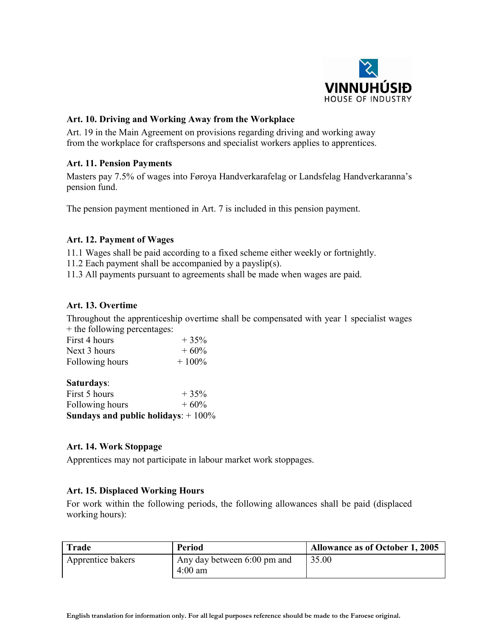

## Art. 10. Driving and Working Away from the Workplace

Art. 19 in the Main Agreement on provisions regarding driving and working away from the workplace for craftspersons and specialist workers applies to apprentices.

## Art. 11. Pension Payments

Masters pay 7.5% of wages into Føroya Handverkarafelag or Landsfelag Handverkaranna's pension fund.

The pension payment mentioned in Art. 7 is included in this pension payment.

## Art. 12. Payment of Wages

11.1 Wages shall be paid according to a fixed scheme either weekly or fortnightly.

- 11.2 Each payment shall be accompanied by a payslip(s).
- 11.3 All payments pursuant to agreements shall be made when wages are paid.

## Art. 13. Overtime

Throughout the apprenticeship overtime shall be compensated with year 1 specialist wages + the following percentages:

| First 4 hours<br>Next 3 hours |                 |          |
|-------------------------------|-----------------|----------|
|                               |                 | $+35%$   |
|                               |                 | $+60%$   |
|                               | Following hours | $+100\%$ |

Saturdays:

| Sundays and public holidays: $+100\%$ |        |
|---------------------------------------|--------|
| Following hours                       | $+60%$ |
| First 5 hours                         | $+35%$ |

## Art. 14. Work Stoppage

Apprentices may not participate in labour market work stoppages.

## Art. 15. Displaced Working Hours

For work within the following periods, the following allowances shall be paid (displaced working hours):

| <b>Trade</b>      | Period                                   | Allowance as of October 1, 2005 |
|-------------------|------------------------------------------|---------------------------------|
| Apprentice bakers | Any day between 6:00 pm and<br>$4:00$ am | 35.00                           |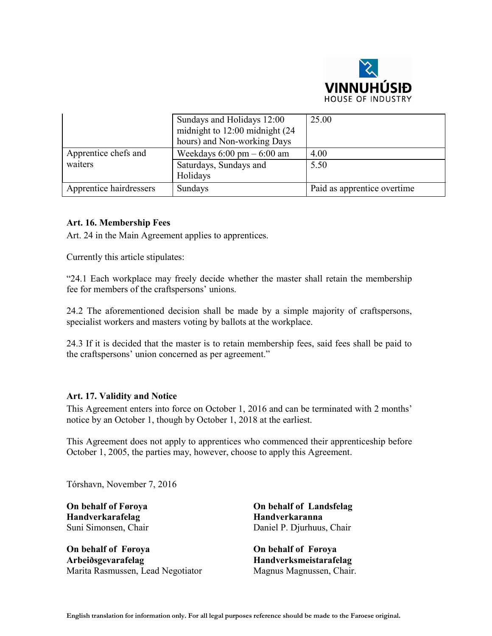

|                         | Sundays and Holidays 12:00<br>midnight to 12:00 midnight (24)<br>hours) and Non-working Days | 25.00                       |
|-------------------------|----------------------------------------------------------------------------------------------|-----------------------------|
| Apprentice chefs and    | Weekdays $6:00 \text{ pm} - 6:00 \text{ am}$                                                 | 4.00                        |
| waiters                 | Saturdays, Sundays and<br>Holidays                                                           | 5.50                        |
| Apprentice hairdressers | Sundays                                                                                      | Paid as apprentice overtime |

#### Art. 16. Membership Fees

Art. 24 in the Main Agreement applies to apprentices.

Currently this article stipulates:

"24.1 Each workplace may freely decide whether the master shall retain the membership fee for members of the craftspersons' unions.

24.2 The aforementioned decision shall be made by a simple majority of craftspersons, specialist workers and masters voting by ballots at the workplace.

24.3 If it is decided that the master is to retain membership fees, said fees shall be paid to the craftspersons' union concerned as per agreement."

#### Art. 17. Validity and Notice

This Agreement enters into force on October 1, 2016 and can be terminated with 2 months' notice by an October 1, though by October 1, 2018 at the earliest.

This Agreement does not apply to apprentices who commenced their apprenticeship before October 1, 2005, the parties may, however, choose to apply this Agreement.

Tórshavn, November 7, 2016

On behalf of Føroya Handverkarafelag Suni Simonsen, Chair

On behalf of Føroya Arbeiðsgevarafelag Marita Rasmussen, Lead Negotiator

On behalf of Landsfelag Handverkaranna Daniel P. Djurhuus, Chair

On behalf of Føroya Handverksmeistarafelag Magnus Magnussen, Chair.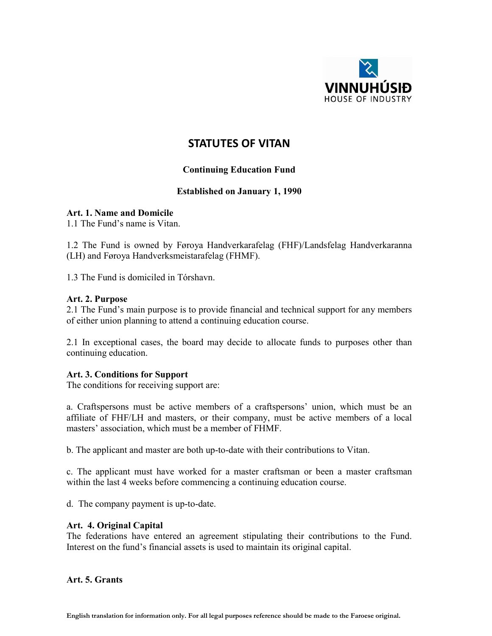

## STATUTES OF VITAN

## Continuing Education Fund

## Established on January 1, 1990

#### Art. 1. Name and Domicile

1.1 The Fund's name is Vitan.

1.2 The Fund is owned by Føroya Handverkarafelag (FHF)/Landsfelag Handverkaranna (LH) and Føroya Handverksmeistarafelag (FHMF).

1.3 The Fund is domiciled in Tórshavn.

#### Art. 2. Purpose

2.1 The Fund's main purpose is to provide financial and technical support for any members of either union planning to attend a continuing education course.

2.1 In exceptional cases, the board may decide to allocate funds to purposes other than continuing education.

#### Art. 3. Conditions for Support

The conditions for receiving support are:

a. Craftspersons must be active members of a craftspersons' union, which must be an affiliate of FHF/LH and masters, or their company, must be active members of a local masters' association, which must be a member of FHMF.

b. The applicant and master are both up-to-date with their contributions to Vitan.

c. The applicant must have worked for a master craftsman or been a master craftsman within the last 4 weeks before commencing a continuing education course.

d. The company payment is up-to-date.

#### Art. 4. Original Capital

The federations have entered an agreement stipulating their contributions to the Fund. Interest on the fund's financial assets is used to maintain its original capital.

#### Art. 5. Grants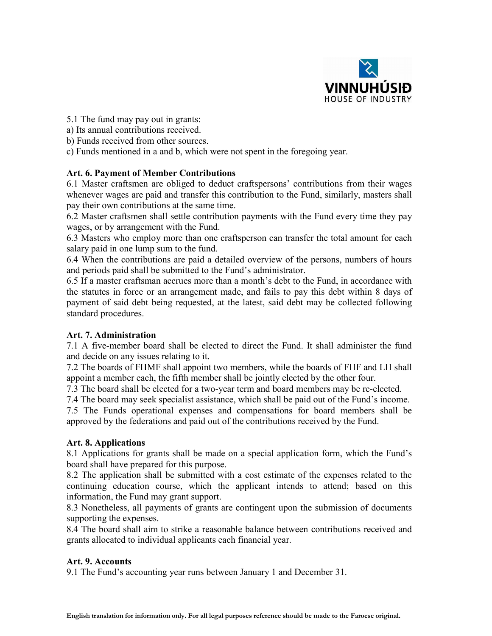

- 5.1 The fund may pay out in grants:
- a) Its annual contributions received.
- b) Funds received from other sources.
- c) Funds mentioned in a and b, which were not spent in the foregoing year.

## Art. 6. Payment of Member Contributions

6.1 Master craftsmen are obliged to deduct craftspersons' contributions from their wages whenever wages are paid and transfer this contribution to the Fund, similarly, masters shall pay their own contributions at the same time.

6.2 Master craftsmen shall settle contribution payments with the Fund every time they pay wages, or by arrangement with the Fund.

6.3 Masters who employ more than one craftsperson can transfer the total amount for each salary paid in one lump sum to the fund.

6.4 When the contributions are paid a detailed overview of the persons, numbers of hours and periods paid shall be submitted to the Fund's administrator.

6.5 If a master craftsman accrues more than a month's debt to the Fund, in accordance with the statutes in force or an arrangement made, and fails to pay this debt within 8 days of payment of said debt being requested, at the latest, said debt may be collected following standard procedures.

## Art. 7. Administration

7.1 A five-member board shall be elected to direct the Fund. It shall administer the fund and decide on any issues relating to it.

7.2 The boards of FHMF shall appoint two members, while the boards of FHF and LH shall appoint a member each, the fifth member shall be jointly elected by the other four.

7.3 The board shall be elected for a two-year term and board members may be re-elected.

7.4 The board may seek specialist assistance, which shall be paid out of the Fund's income.

7.5 The Funds operational expenses and compensations for board members shall be approved by the federations and paid out of the contributions received by the Fund.

## Art. 8. Applications

8.1 Applications for grants shall be made on a special application form, which the Fund's board shall have prepared for this purpose.

8.2 The application shall be submitted with a cost estimate of the expenses related to the continuing education course, which the applicant intends to attend; based on this information, the Fund may grant support.

8.3 Nonetheless, all payments of grants are contingent upon the submission of documents supporting the expenses.

8.4 The board shall aim to strike a reasonable balance between contributions received and grants allocated to individual applicants each financial year.

## Art. 9. Accounts

9.1 The Fund's accounting year runs between January 1 and December 31.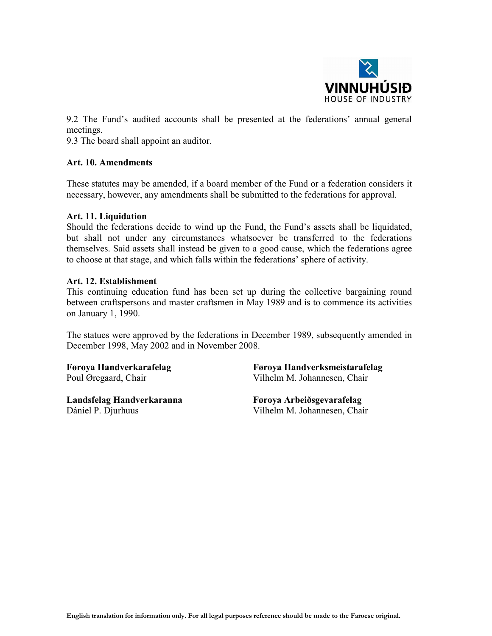

9.2 The Fund's audited accounts shall be presented at the federations' annual general meetings.

9.3 The board shall appoint an auditor.

#### Art. 10. Amendments

These statutes may be amended, if a board member of the Fund or a federation considers it necessary, however, any amendments shall be submitted to the federations for approval.

#### Art. 11. Liquidation

Should the federations decide to wind up the Fund, the Fund's assets shall be liquidated, but shall not under any circumstances whatsoever be transferred to the federations themselves. Said assets shall instead be given to a good cause, which the federations agree to choose at that stage, and which falls within the federations' sphere of activity.

#### Art. 12. Establishment

This continuing education fund has been set up during the collective bargaining round between craftspersons and master craftsmen in May 1989 and is to commence its activities on January 1, 1990.

The statues were approved by the federations in December 1989, subsequently amended in December 1998, May 2002 and in November 2008.

Føroya Handverkarafelag Poul Øregaard, Chair

Landsfelag Handverkaranna Dániel P. Djurhuus

Føroya Handverksmeistarafelag Vilhelm M. Johannesen, Chair

Føroya Arbeiðsgevarafelag Vilhelm M. Johannesen, Chair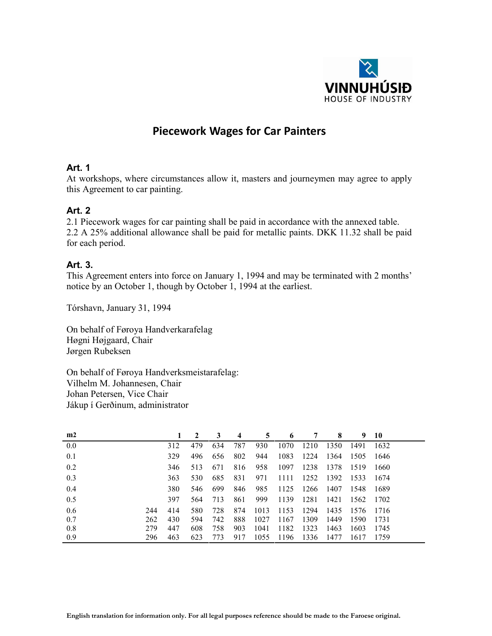

## Piecework Wages for Car Painters

## Art. 1

At workshops, where circumstances allow it, masters and journeymen may agree to apply this Agreement to car painting.

## Art. 2

2.1 Piecework wages for car painting shall be paid in accordance with the annexed table. 2.2 A 25% additional allowance shall be paid for metallic paints. DKK 11.32 shall be paid for each period.

## Art. 3.

This Agreement enters into force on January 1, 1994 and may be terminated with 2 months' notice by an October 1, though by October 1, 1994 at the earliest.

Tórshavn, January 31, 1994

On behalf of Føroya Handverkarafelag Høgni Højgaard, Chair Jørgen Rubeksen

On behalf of Føroya Handverksmeistarafelag: Vilhelm M. Johannesen, Chair Johan Petersen, Vice Chair Jákup í Gerðinum, administrator

| m2  |     |     | 2   | 3   | 4   | 5    | -6   | 7    | 8    | 9.   | 10   |
|-----|-----|-----|-----|-----|-----|------|------|------|------|------|------|
| 0.0 |     | 312 | 479 | 634 | 787 | 930  | 1070 | 1210 | 1350 | 1491 | 1632 |
| 0.1 |     | 329 | 496 | 656 | 802 | 944  | 1083 | 1224 | 1364 | 1505 | 1646 |
| 0.2 |     | 346 | 513 | 671 | 816 | 958  | 1097 | 1238 | 1378 | 1519 | 1660 |
| 0.3 |     | 363 | 530 | 685 | 831 | 971  | 1111 | 1252 | 1392 | 1533 | 1674 |
| 0.4 |     | 380 | 546 | 699 | 846 | 985  | 1125 | 1266 | 1407 | 1548 | 1689 |
| 0.5 |     | 397 | 564 | 713 | 861 | 999  | 1139 | 1281 | 1421 | 1562 | 1702 |
| 0.6 | 244 | 414 | 580 | 728 | 874 | 1013 | 1153 | 1294 | 1435 | 1576 | 1716 |
| 0.7 | 262 | 430 | 594 | 742 | 888 | 1027 | 1167 | 1309 | 1449 | 1590 | 1731 |
| 0.8 | 279 | 447 | 608 | 758 | 903 | 1041 | 1182 | 1323 | 1463 | 1603 | 1745 |
| 0.9 | 296 | 463 | 623 | 773 | 917 | 1055 | 1196 | 1336 | 1477 | 1617 | 1759 |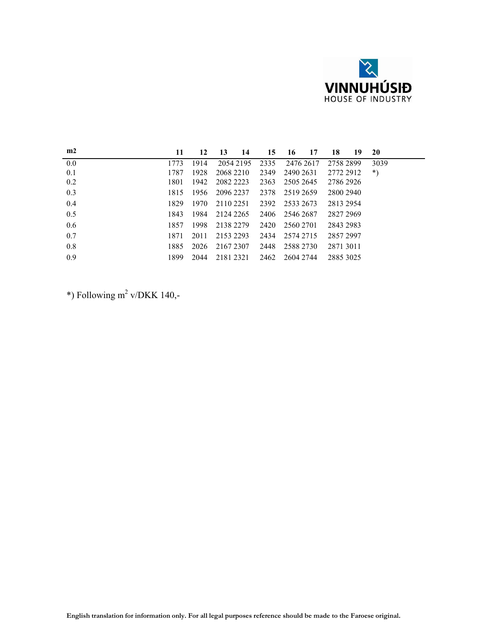

| m2  | 11   | 12     | 13<br>14  | 15   | 16<br>17       | 18<br>19  | <b>20</b> |
|-----|------|--------|-----------|------|----------------|-----------|-----------|
| 0.0 | 1773 | 1914   | 2054 2195 | 2335 | 2476 2617      | 2758 2899 | 3039      |
| 0.1 | 1787 | 1928   | 2068 2210 | 2349 | 2490 2631      | 2772 2912 | $^*)$     |
| 0.2 | 1801 | 1942   | 2082 2223 | 2363 | 2505 2645      | 2786 2926 |           |
| 0.3 | 1815 | - 1956 | 2096 2237 | 2378 | 2519 2659      | 2800 2940 |           |
| 0.4 | 1829 | 1970   | 2110 2251 | 2392 | 2533 2673      | 2813 2954 |           |
| 0.5 | 1843 | 1984   | 2124 2265 | 2406 | 2546 2687      | 2827 2969 |           |
| 0.6 | 1857 | 1998   | 2138 2279 | 2420 | 2560 2701      | 2843 2983 |           |
| 0.7 | 1871 | 2011   | 2153 2293 | 2434 | 2574 2715      | 2857 2997 |           |
| 0.8 | 1885 | 2026   | 2167 2307 | 2448 | 2588 2730      | 2871 3011 |           |
| 0.9 | 1899 | 2044   | 2181 2321 |      | 2462 2604 2744 | 2885 3025 |           |

\*) Following  $m^2$  v/DKK 140,-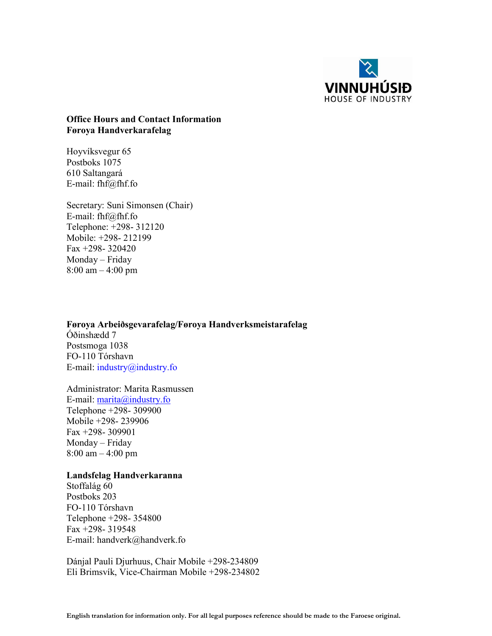

## Office Hours and Contact Information Føroya Handverkarafelag

Hoyvíksvegur 65 Postboks 1075 610 Saltangará E-mail: fhf@fhf.fo

Secretary: Suni Simonsen (Chair) E-mail: fhf@fhf.fo Telephone: +298- 312120 Mobile: +298- 212199 Fax +298- 320420 Monday – Friday 8:00 am – 4:00 pm

Føroya Arbeiðsgevarafelag/Føroya Handverksmeistarafelag Óðinshædd 7 Postsmoga 1038 FO-110 Tórshavn E-mail: industry@industry.fo

Administrator: [Marita](mailto:marita@industry.fo) Rasmussen E-mail: marita@industry.fo Telephone +298- 309900 Mobile +298- 239906 Fax +298- 309901 Monday – Friday 8:00 am – 4:00 pm

#### Landsfelag Handverkaranna

Stoffalág 60 Postboks 203 FO-110 Tórshavn Telephone +298- 354800 Fax +298- 319548 E-mail: handverk@handverk.fo

Dánjal Pauli Djurhuus, Chair Mobile +298-234809 Eli Brimsvík, Vice-Chairman Mobile +298-234802